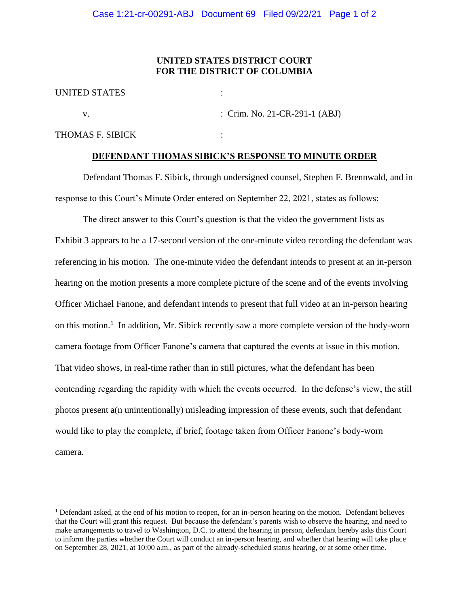## **UNITED STATES DISTRICT COURT FOR THE DISTRICT OF COLUMBIA**

| <b>UNITED STATES</b> |                                 |
|----------------------|---------------------------------|
|                      | : Crim. No. 21-CR-291-1 $(ABJ)$ |
| THOMAS F. SIBICK     |                                 |

## **DEFENDANT THOMAS SIBICK'S RESPONSE TO MINUTE ORDER**

Defendant Thomas F. Sibick, through undersigned counsel, Stephen F. Brennwald, and in response to this Court's Minute Order entered on September 22, 2021, states as follows:

The direct answer to this Court's question is that the video the government lists as Exhibit 3 appears to be a 17-second version of the one-minute video recording the defendant was referencing in his motion. The one-minute video the defendant intends to present at an in-person hearing on the motion presents a more complete picture of the scene and of the events involving Officer Michael Fanone, and defendant intends to present that full video at an in-person hearing on this motion.<sup>1</sup> In addition, Mr. Sibick recently saw a more complete version of the body-worn camera footage from Officer Fanone's camera that captured the events at issue in this motion. That video shows, in real-time rather than in still pictures, what the defendant has been contending regarding the rapidity with which the events occurred. In the defense's view, the still photos present a(n unintentionally) misleading impression of these events, such that defendant would like to play the complete, if brief, footage taken from Officer Fanone's body-worn camera.

<sup>&</sup>lt;sup>1</sup> Defendant asked, at the end of his motion to reopen, for an in-person hearing on the motion. Defendant believes that the Court will grant this request. But because the defendant's parents wish to observe the hearing, and need to make arrangements to travel to Washington, D.C. to attend the hearing in person, defendant hereby asks this Court to inform the parties whether the Court will conduct an in-person hearing, and whether that hearing will take place on September 28, 2021, at 10:00 a.m., as part of the already-scheduled status hearing, or at some other time.